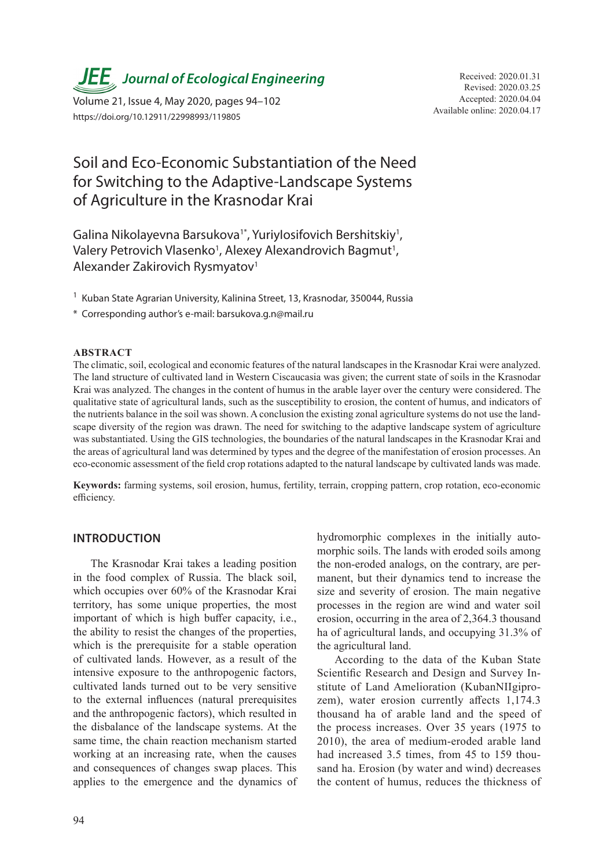**JEE** Journal of Ecological Engineering Received: 2020.01.31

Available online: 2020.04.17 Volume 21, Issue 4, May 2020, pages 94–102 https://doi.org/10.12911/22998993/119805

## Soil and Eco-Economic Substantiation of the Need for Switching to the Adaptive-Landscape Systems of Agriculture in the Krasnodar Krai

Galina Nikolayevna Barsukova<sup>1\*</sup>, Yuriylosifovich Bershitskiy<sup>1</sup>, Valery Petrovich Vlasenko<sup>1</sup>, Alexey Alexandrovich Bagmut<sup>1</sup>, Alexander Zakirovich Rysmyatov1

<sup>1</sup> Kuban State Agrarian University, Kalinina Street, 13, Krasnodar, 350044, Russia

\* Corresponding author's e-mail: barsukova.g.n@mail.ru

## **ABSTRACT**

The climatic, soil, ecological and economic features of the natural landscapes in the Krasnodar Krai were analyzed. The land structure of cultivated land in Western Ciscaucasia was given; the current state of soils in the Krasnodar Krai was analyzed. The changes in the content of humus in the arable layer over the century were considered. The qualitative state of agricultural lands, such as the susceptibility to erosion, the content of humus, and indicators of the nutrients balance in the soil was shown. A conclusion the existing zonal agriculture systems do not use the landscape diversity of the region was drawn. The need for switching to the adaptive landscape system of agriculture was substantiated. Using the GIS technologies, the boundaries of the natural landscapes in the Krasnodar Krai and the areas of agricultural land was determined by types and the degree of the manifestation of erosion processes. An eco-economic assessment of the field crop rotations adapted to the natural landscape by cultivated lands was made.

**Keywords:** farming systems, soil erosion, humus, fertility, terrain, cropping pattern, crop rotation, eco-economic efficiency.

## **INTRODUCTION**

The Krasnodar Krai takes a leading position in the food complex of Russia. The black soil, which occupies over 60% of the Krasnodar Krai territory, has some unique properties, the most important of which is high buffer capacity, i.e., the ability to resist the changes of the properties, which is the prerequisite for a stable operation of cultivated lands. However, as a result of the intensive exposure to the anthropogenic factors, cultivated lands turned out to be very sensitive to the external influences (natural prerequisites and the anthropogenic factors), which resulted in the disbalance of the landscape systems. At the same time, the chain reaction mechanism started working at an increasing rate, when the causes and consequences of changes swap places. This applies to the emergence and the dynamics of hydromorphic complexes in the initially automorphic soils. The lands with eroded soils among the non-eroded analogs, on the contrary, are permanent, but their dynamics tend to increase the size and severity of erosion. The main negative processes in the region are wind and water soil erosion, occurring in the area of 2,364.3 thousand ha of agricultural lands, and occupying 31.3% of the agricultural land.

According to the data of the Kuban State Scientific Research and Design and Survey Institute of Land Amelioration (KubanNIIgiprozem), water erosion currently affects 1,174.3 thousand ha of arable land and the speed of the process increases. Over 35 years (1975 to 2010), the area of medium-eroded arable land had increased 3.5 times, from 45 to 159 thousand ha. Erosion (by water and wind) decreases the content of humus, reduces the thickness of